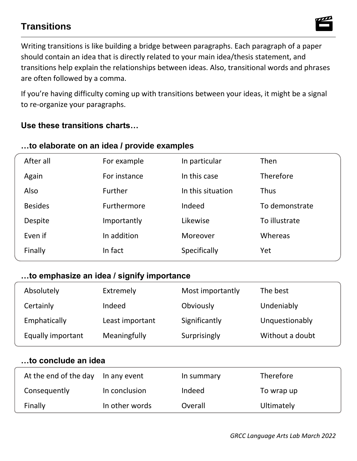# **Transitions**

 Writing transitions is like building a bridge between paragraphs. Each paragraph of a paper should contain an idea that is directly related to your main idea/thesis statement, and are often followed by a comma. transitions help explain the relationships between ideas. Also, transitional words and phrases

 If you're having difficulty coming up with transitions between your ideas, it might be a signal to re-organize your paragraphs.

### **Use these transitions charts…**

#### **…to elaborate on an idea / provide examples**

| After all      | For example  | In particular     | Then             |
|----------------|--------------|-------------------|------------------|
| Again          | For instance | In this case      | <b>Therefore</b> |
| Also           | Further      | In this situation | <b>Thus</b>      |
| <b>Besides</b> | Furthermore  | Indeed            | To demonstrate   |
| Despite        | Importantly  | Likewise          | To illustrate    |
| Even if        | In addition  | Moreover          | Whereas          |
| Finally        | In fact      | Specifically      | Yet              |

#### **…to emphasize an idea / signify importance**

| Absolutely        | Extremely       | Most importantly | The best        |
|-------------------|-----------------|------------------|-----------------|
| Certainly         | Indeed          | Obviously        | Undeniably      |
| Emphatically      | Least important | Significantly    | Unquestionably  |
| Equally important | Meaningfully    | Surprisingly     | Without a doubt |

## **…to conclude an idea**

| At the end of the day | In any event   | In summary | <b>Therefore</b> |
|-----------------------|----------------|------------|------------------|
| Consequently          | In conclusion  | Indeed     | To wrap up       |
| Finally               | In other words | Overall    | Ultimately       |